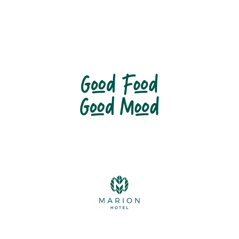

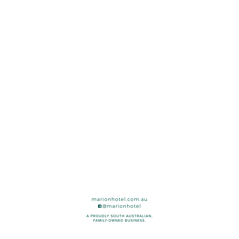marionhotel.com.au **n**@marionhotel

A PROUDLY SOUTH AUSTRALIAN, FAMILY-OWNED BUSINESS.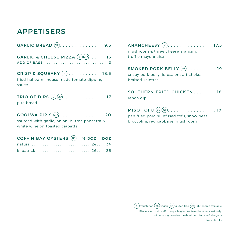# APPETISERS

| GARLIC & CHEESE PIZZA $(v)$ (cfA)  15                                                                      |
|------------------------------------------------------------------------------------------------------------|
| CRISP & SQUEAKY $(v)$ 18.5<br>fried halloumi, house made tomato dipping<br>sauce                           |
| TRIO OF DIPS $(\vee \circ \circ \circ \circ \circ \dots \circ \dots \circ \dots \circ 17)$<br>pita bread   |
| GOOLWA PIPIS $(FA)$ 20<br>sauteed with garlic, onion, butter, pancetta &<br>white wine on toasted ciabatta |

| COFFIN BAY OYSTERS (GF) 1/2 DOZ DOZ |  |
|-------------------------------------|--|
|                                     |  |
|                                     |  |

ARANCHEESY  $(v)$ . . . . . . . . . . . . . . . . 17.5 mushroom & three cheese arancini,

truffle mayonnaise

# SMOKED PORK BELLY  $GF$  . . . . . . . . . . 19

crispy pork belly, jerusalem artichoke, braised kalettes

SOUTHERN FRIED CHICKEN . . . . . . . 18 ranch dip

## $MISO TOFU$   $(\vee E)(GF)$ . . . . . . . . . . . . . . . . . 17

pan fried porcini infused tofu, snow peas, broccolini, red cabbage, mushroom

 $(\, {\sf v} \,)$  vegetarian  $({\sf v}{\sf E})$  vegan  $({\sf GF})$  gluten free  $({\sf GF})$  gluten free available Please alert wait staff to any allergies. We take these very seriously, but cannot guarantee meals without traces of allergens

No split bills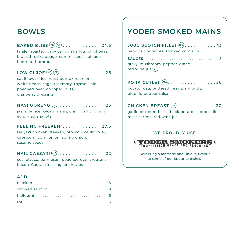# BOWLS

## BAKED BLISS  $(\vee \mathsf{E})$  (GF) . . . . . . . . . . . . . 24.5

falafel, roasted baby carrot, shallots, chickpeas, braised red cabbage, cumin seeds, spinach, beetroot hummus

## LOW GI-JOE  $(\overline{ve})(GF)$ ..............26

cauliflower rice, roast pumpkin, onion, white beans, sage, rosemary, thyme, kale, poached pear, chopped nuts, cranberry dressing

# NASI GORENG  $(v)$  . . . . . . . . . . . . . . . 23

jasmine rice, kecap manis, chilli, garlic, onion, egg, fried shallots

#### FEELING FREEKEH . . . . . . . . . . . . . 27.5

teriyaki chicken, freekeh, broccoli, cauliflower, capsicum, corn, onion, spring onion, sesame seeds

#### HAIL CAESAR! (GFA) . . . . . . . . . . . . . . . . 22

cos lettuce, parmesan, poached egg, croutons, bacon, Caesar dressing, anchovies

#### ADD

# YODER SMOKED MAINS

| 300G SCOTCH FILLET (CFA). 43        |  |
|-------------------------------------|--|
| hand cut potatoes, smoked corn ribs |  |

| gravy, mushroom, pepper, diane, |
|---------------------------------|
| $red$ wine jus $(F)$            |

| PORK CUTLET (GFA). 36                  |
|----------------------------------------|
| potato rosti, buttered beans, almonds, |
| piquillo pepper salsa                  |

CHICKEN BREAST  $GF$  . . . . . . . . . . . . . 30 garlic buttered hasselback potatoes, broccolini, roast carrots, red wine jus

#### WE PROUDLY USE



Delivering a fantastic and unique flavour to some of our favourite dishes.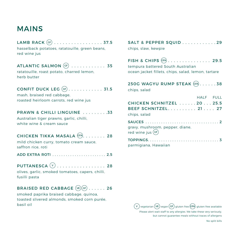# MAINS

## LAMB RACK  $\overline{GP}$  . . . . . . . . . . . . . . . . 37.5

hasselback potatoes, ratatouille, green beans, red wine jus

## ATLANTIC SALMON  $(F)$  ............ 35

ratatouille, roast potato, charred lemon, herb butter

# CONFIT DUCK LEG  $GF$ ............ 31.5

mash, braised red cabbage, roasted heirloom carrots, red wine jus

#### PRAWN & CHILLI LINGUINE . . . . . . . . . 33

Australian tiger prawns, garlic, chilli, white wine & cream sauce

## CHICKEN TIKKA MASALA  $(FA)$ ....... 28

mild chicken curry, tomato cream sauce, saffron rice, roti

ADD EXTRA ROTI . . . . . . . . . . . . . . . . . . . . . . . . 2.5

## PUTTANESCA  $(v)$  . . . . . . . . . . . . . . . . 28

olives, garlic, smoked tomatoes, capers, chilli, fusilli pasta

## BRAISED RED CABBAGE  $(\vee \mathsf{E})(\mathsf{GF})$ ..... 26

smoked paprika braised cabbage, quinoa, toasted slivered almonds, smoked corn purée, basil oil

| SALT & PEPPER SQUID 29 |  |  |  |  |  |  |
|------------------------|--|--|--|--|--|--|
| chips, slaw, kewpie    |  |  |  |  |  |  |

| FISH & CHIPS $GFA$ 29.5                            |  |
|----------------------------------------------------|--|
| tempura battered South Australian                  |  |
| ocean jacket fillets, chips, salad, lemon, tartare |  |

250G WAGYU RUMP STEAK (CFA) . . . . . . 38 chips, salad

|                                                        | HALF FULL |  |
|--------------------------------------------------------|-----------|--|
| CHICKEN SCHNITZEL 2025.5                               |           |  |
| BEEF SCHNITZEL 21 27                                   |           |  |
| chips, salad                                           |           |  |
|                                                        |           |  |
| gravy, mushroom, pepper, diane,<br>$red$ wine jus $GF$ |           |  |

| parmigiana, Hawaiian |  |
|----------------------|--|



No split bills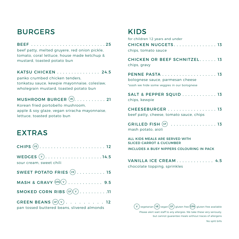# BURGERS

#### BEEF . . . . . . . . . . . . . . . . . . . . . . . . . 25

beef patty, melted gruyere, red onion pickle, tomato, coral lettuce, house made ketchup & mustard, toasted potato bun

#### KATSU CHICKEN . . . . . . . . . . . . . . . 24.5

panko crumbed chicken tenders, tonkatsu sauce, kewpie mayonnaise, coleslaw, wholegrain mustard, toasted potato bun

## MUSHROOM BURGER  $(\overline{ve})$ ........... 21

Korean fried portobello mushroom, apple & soy glaze, vegan sriracha mayonnaise, lettuce, toasted potato bun

# EXTRAS

| WEDGES $(v)$ 14.5<br>sour cream, sweet chili                           |
|------------------------------------------------------------------------|
| SWEET POTATO FRIES $(\overline{ve})$ 15                                |
|                                                                        |
| SMOKED CORN RIBS $(F)(V)$ 11                                           |
| GREEN BEANS $(F)(V)$ 12<br>pan tossed buttered beans, slivered almonds |

# KIDS

| for children 12 years and under<br><b>CHICKEN NUGGETS 13</b><br>chips, tomato sauce |
|-------------------------------------------------------------------------------------|
| <b>CHICKEN OR BEEF SCHNITZEL 13</b><br>chips, gravy                                 |
| bolognese sauce, parmesan cheese<br>*ssssh we hide some veggies in our bolognese    |
| SALT & PEPPER SQUID 13<br>chips, kewpie                                             |
| CHEESEBURGER 13<br>beef patty, cheese, tomato sauce, chips                          |
| $\sim$ $\sim$                                                                       |

| mash potato, aioli |  |  |  |  |  |  |  |  |
|--------------------|--|--|--|--|--|--|--|--|

ALL KIDS MEALS ARE SERVED WITH SLICED CARROT & CUCUMBER

INCLUDES A BUSY NIPPERS COLOURING IN PACK

| VANILLA ICE CREAM 4.5        |  |
|------------------------------|--|
| chocolate topping, sprinkles |  |

 $(\, {\sf v} \,)$ vegetarian  $({\sf v}{\sf E})$ vegan  $({\sf GF})$  gluten free  $({\sf GF})$  gluten free available Please alert wait staff to any allergies. We take these very seriously, but cannot guarantee meals without traces of allergens

No split bills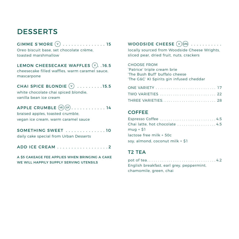# **DESSERTS**

GIMME S'MORE  $(v)$  . . . . . . . . . . . . . . 15

Oreo biscuit base, set chocolate crème, toasted marshmallow

#### LEMON CHEESECAKE WAFFLES  $(v)$ . 16.5

cheesecake filled waffles, warm caramel sauce, mascarpone

## CHAI SPICE BLONDIE  $\overline{V}$  . . . . . . . . . 15.5

white chocolate chai spiced blondie. vanilla bean ice cream

# APPLE CRUMBLE  $(v_E)(GF)$ ...........14

braised apples, toasted crumble, vegan ice cream, warm caramel sauce

# SOMETHING SWEET . . . . . . . . . . . . . 10

daily cake special from Urban Desserts

ADD ICE CREAM . . . . . . . . . . . . . . . . . 2

#### A \$5 CAKEAGE FEE APPLIES WHEN BRINGING A CAKE WE WILL HAPPILY SUPPLY SERVING UTENSILS

## WOODSIDE CHEESE  $(v)$   $(FA)$  . . . . . . . . . .

locally sourced from Woodside Cheese Wrights, sliced pear, dried fruit, nuts, crackers

CHOOSE FROM 'Patrice' triple cream brie 'The Bush Buff' buffalo cheese 'The G&C' KI Spirits gin infused cheddar

| <b>ONE VARIETY</b> 17 |  |
|-----------------------|--|
| TWO VARIETIES  22     |  |
| THREE VARIETIES 28    |  |

#### **COFFEE**

| Espresso Coffee 4.5               |
|-----------------------------------|
| Chai latte, hot chocolate 4.5     |
| $muq + $1$                        |
| lactose free milk + 50c           |
| soy, almond, coconut milk $+$ \$1 |

#### T2 TEA

pot of tea. . 4.2 English breakfast, earl grey, peppermint, chamomile, green, chai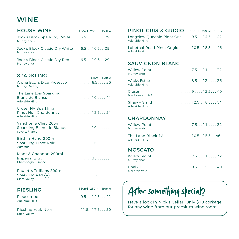# **WINE**

#### HOUSE WINE Jock's Block Sparkling White. . . . . 6.5. . . . . . . . 29 Murraylands Jock's Block Classic Dry White. . . 6.5. . 10.5. . . 29 Murraylands 150ml 250ml Bottle 150ml 250ml Bottle

Jock's Block Classic Dry Red..... 6.5... 10.5.. 29 Murraylands

#### SPARKLING

Alpha Box & Dice Prosecco...........8.5....36 Murray Darling

The Lane Lois Sparkling Blanc de Blancs. . 10 . . 44 Adelaide Hills

Croser NV Sparkling Pinot Noir Chardonnay . . . . . . . . . . . . . . 12.5. . . 54 Adelaide Hills

Varichon & Clerc 200ml Sparkling Blanc de Blancs..............10...... Savoie, France

Bird in Hand 200ml Sparkling Pinot Noir. . 16. . . Australia

Moet & Chandon 200ml Imperial Brut. . 35. . . Champagne, France

Pauletts Trillians 200ml Sparkling Red  $(\overline{ve}), \ldots, \ldots, \ldots, \ldots, 10, \ldots$ Clare Valley

#### RIESLING

150ml 250ml Bottle

Glass Bottle

Paracombe . . . . . . . . . . . . . . . . . 9.5. . 14.5. . . 42 Adelaide Hills

Rieslingfreak No.4 . . . . . . . . . . . . 11.5. . 17.5. . . 50 Eden Valley

| PINOT GRIS & GRIGIO 150ml 250ml Bottle                              |  |  |
|---------------------------------------------------------------------|--|--|
| Longview Queenie Pinot Gris 9.5 14.5 42<br><b>Adelaide Hills</b>    |  |  |
| Lobethal Road Pinot Grigio  10.5 . 15.5 46<br><b>Adelaide Hills</b> |  |  |

#### SAUVIGNON BLANC

| Murraylands                                      |  |  |
|--------------------------------------------------|--|--|
| Wicks Estate  8.513  36<br><b>Adelaide Hills</b> |  |  |
| Marlborough, NZ                                  |  |  |
| Adelaide Hills                                   |  |  |

#### **CHARDONNAY**

| Murraylands                                         |  |
|-----------------------------------------------------|--|
| The Lane Block 1A  10.5 . 15.5 46<br>Adelaide Hills |  |

#### **MOSCATO**

| Murraylands         |  |  |
|---------------------|--|--|
| <b>McLaren Vale</b> |  |  |

# After something special

Have a look in Nick's Cellar. Only \$10 corkage for any wine from our premium wine room.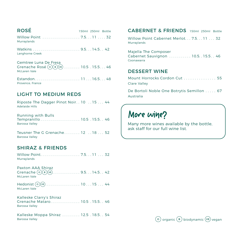| <b>ROSE</b>                                                         | 150ml 250ml Bottle |  |
|---------------------------------------------------------------------|--------------------|--|
| Willow Point  7.511  32<br>Murraylands                              |                    |  |
| Langhorne Creek                                                     |                    |  |
| Gemtree Luna De Fresa<br>Crenache Rosé (o) (B) (vE)  10.5 . 15.5 46 |                    |  |

Estandon. . . 11. . 16.5. . . 48 Provence, France

#### LIGHT TO MEDIUM REDS

ROSÉ

McLaren Vale

Riposte The Dagger Pinot Noir. . 10 . . 15 . . . 44 Adelaide Hills

Running with Bulls Tempranillo. . . . . . . . . . . . . . . . . . 10.5 . 15.5. . 46 Barossa Valley

Teusner The G Grenache........ 12 ... 18... 52 Barossa Valley

#### SHIRAZ & FRIENDS

Willow Point. . . 7.5. . 11. . . 32 Murraylands

Paxton AAA Shiraz Grenache  $(o)(B)(ve), \ldots, \ldots, 9.5, . . 14.5. . 42$ McLaren Vale

Hedonist <sup>O</sup> VE. . 10. . 15. . . 44 McLaren Vale

Kalleske Clarry's Shiraz Grenache Mataro. . . . . . . . . . . . . 10.5. 15.5. . 46 Barossa Valley

Kalleske Moppa Shiraz . . . . . . . . 12.5 . 18.5. . 54 Barossa Valley

#### 150ml 250ml Bottle **CABERNET & FRIENDS** 150ml 250ml Bottle

Willow Point Cabernet Merlot. . . 7.5. . . 11 . . . 32 Murraylands

Majella The Composer

Cabernet Sauvignon . . . . . . . . . . 10.5. 15.5. . 46 Coonawarra

#### DESSERT WINE

| Mount Horrocks Cordon Cut  55 |  |  |  |  |  |  |  |
|-------------------------------|--|--|--|--|--|--|--|
| Clare Valley                  |  |  |  |  |  |  |  |

De Bortoli Noble One Botrytis Semillon . . . . . 67 Australia

# More wine

Many more wines available by the bottle, ask staff for our full wine list.

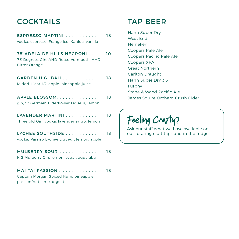# COCKTAILS

| ESPRESSO MARTINI  18<br>vodka, espresso, Frangelico, Kahlua, vanilla                              |
|---------------------------------------------------------------------------------------------------|
| 78° ADELAIDE HILLS NEGRONI 20<br>78° Degrees Gin, AHD Rosso Vermouth, AHD<br><b>Bitter Orange</b> |
| GARDEN HIGHBALL. 18<br>Midori, Licor 43, apple, pineapple juice                                   |
| APPLE BLOSSOM18<br>gin, St Germain Elderflower Liqueur, lemon                                     |
| LAVENDER MARTINI18<br>Threefold Gin, vodka, lavender syrup, lemon                                 |
| LYCHEE SOUTHSIDE 18<br>vodka, Paraiso Lychee Liqueur, lemon, apple                                |
| MULBERRY SOUR 18                                                                                  |

KIS Mulberry Gin, lemon, sugar, aquafaba

| MAI TAI PASSION 18                    |
|---------------------------------------|
| Captain Morgan Spiced Rum, pineapple, |
| passionfruit, lime, orgeat            |

# TAP BEER

Hahn Super Dry West End Heineken Coopers Pale Ale Coopers Pacific Pale Ale Coopers XPA Great Northern Carlton Draught Hahn Super Dry 3.5 Furphy Stone & Wood Pacific Ale James Squire Orchard Crush Cider

Feeling Crafty

Ask our staff what we have available on our rotating craft taps and in the fridge.